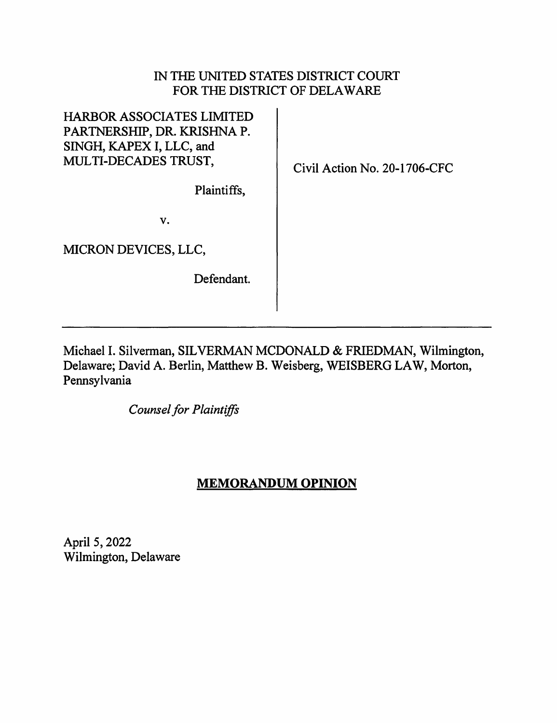## IN THE UNITED STATES DISTRICT COURT FOR THE DISTRICT OF DELAWARE

| <b>HARBOR ASSOCIATES LIMITED</b><br>PARTNERSHIP, DR. KRISHNA P.<br>SINGH, KAPEX I, LLC, and<br>MULTI-DECADES TRUST, | Civil Action No. 20-1706-CFC |
|---------------------------------------------------------------------------------------------------------------------|------------------------------|
| Plaintiffs,                                                                                                         |                              |
| v.                                                                                                                  |                              |
| MICRON DEVICES, LLC,                                                                                                |                              |
| Defendant.                                                                                                          |                              |
|                                                                                                                     |                              |

Michael I. Silverman, SILVERMAN MCDONALD & FRIEDMAN, Wilmington, Delaware; David A. Berlin, Matthew B. Weisberg, WEISBERG LAW, Morton, Pennsylvania

*Counsel for Plaintiffs* 

## **MEMORANDUM OPINION**

April 5, 2022 Wilmington, Delaware